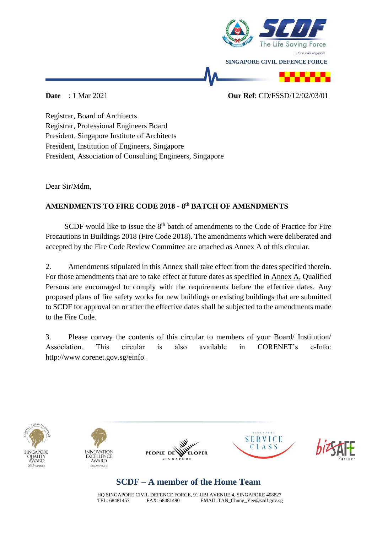

## **Date** : 1 Mar 2021 **Our Ref**: CD/FSSD/12/02/03/01

Registrar, Board of Architects Registrar, Professional Engineers Board President, Singapore Institute of Architects President, Institution of Engineers, Singapore President, Association of Consulting Engineers, Singapore

Dear Sir/Mdm,

## **AMENDMENTS TO FIRE CODE 2018 - 8** th **BATCH OF AMENDMENTS**

SCDF would like to issue the  $8<sup>th</sup>$  batch of amendments to the Code of Practice for Fire Precautions in Buildings 2018 (Fire Code 2018). The amendments which were deliberated and accepted by the Fire Code Review Committee are attached as Annex A of this circular.

2. Amendments stipulated in this Annex shall take effect from the dates specified therein. For those amendments that are to take effect at future dates as specified in Annex A, Qualified Persons are encouraged to comply with the requirements before the effective dates. Any proposed plans of fire safety works for new buildings or existing buildings that are submitted to SCDF for approval on or after the effective dates shall be subjected to the amendments made to the Fire Code.

3. Please convey the contents of this circular to members of your Board/ Institution/ Association. This circular is also available in CORENET's e-Info: http://www.corenet.gov.sg/einfo.











## **SCDF – A member of the Home Team**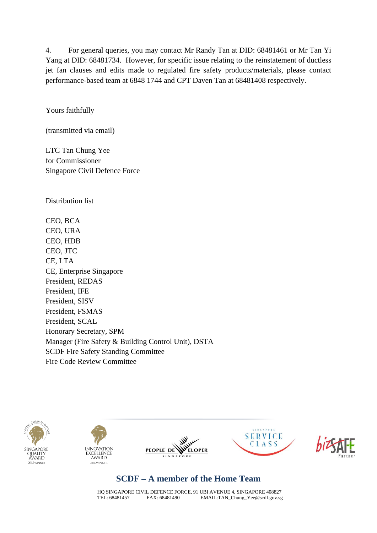4. For general queries, you may contact Mr Randy Tan at DID: 68481461 or Mr Tan Yi Yang at DID: 68481734. However, for specific issue relating to the reinstatement of ductless jet fan clauses and edits made to regulated fire safety products/materials, please contact performance-based team at 6848 1744 and CPT Daven Tan at 68481408 respectively.

Yours faithfully

(transmitted via email)

LTC Tan Chung Yee for Commissioner Singapore Civil Defence Force

Distribution list

CEO, BCA CEO, URA CEO, HDB CEO, JTC CE, LTA CE, Enterprise Singapore President, REDAS President, IFE President, SISV President, FSMAS President, SCAL Honorary Secretary, SPM Manager (Fire Safety & Building Control Unit), DSTA SCDF Fire Safety Standing Committee Fire Code Review Committee











## **SCDF – A member of the Home Team**

HQ SINGAPORE CIVIL DEFENCE FORCE, 91 UBI AVENUE 4, SINGAPORE 408827<br>TEL: 68481457 FAX: 68481490 EMAIL:TAN Chung Yee@scdf.gov.sg EMAIL: TAN Chung Yee@scdf.gov.sg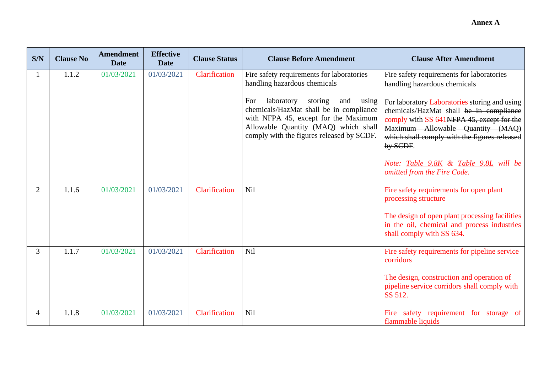| S/N            | <b>Clause No</b> | <b>Amendment</b><br><b>Date</b> | <b>Effective</b><br><b>Date</b> | <b>Clause Status</b> | <b>Clause Before Amendment</b>                                                                                                                                                                                       | <b>Clause After Amendment</b>                                                                                                                                                                                                         |
|----------------|------------------|---------------------------------|---------------------------------|----------------------|----------------------------------------------------------------------------------------------------------------------------------------------------------------------------------------------------------------------|---------------------------------------------------------------------------------------------------------------------------------------------------------------------------------------------------------------------------------------|
|                | 1.1.2            | 01/03/2021                      | 01/03/2021                      | Clarification        | Fire safety requirements for laboratories<br>handling hazardous chemicals                                                                                                                                            | Fire safety requirements for laboratories<br>handling hazardous chemicals                                                                                                                                                             |
|                |                  |                                 |                                 |                      | For<br>laboratory<br>storing<br>and<br>using<br>chemicals/HazMat shall be in compliance<br>with NFPA 45, except for the Maximum<br>Allowable Quantity (MAQ) which shall<br>comply with the figures released by SCDF. | For laboratory Laboratories storing and using<br>chemicals/HazMat shall be in compliance<br>comply with SS 641NFPA 45, except for the<br>Maximum Allowable Quantity (MAQ)<br>which shall comply with the figures released<br>by SCDF. |
|                |                  |                                 |                                 |                      |                                                                                                                                                                                                                      | Note: Table 9.8K & Table 9.8L will be<br>omitted from the Fire Code.                                                                                                                                                                  |
| $\overline{2}$ | 1.1.6            | 01/03/2021                      | 01/03/2021                      | Clarification        | Nil                                                                                                                                                                                                                  | Fire safety requirements for open plant<br>processing structure                                                                                                                                                                       |
|                |                  |                                 |                                 |                      |                                                                                                                                                                                                                      | The design of open plant processing facilities<br>in the oil, chemical and process industries<br>shall comply with SS 634.                                                                                                            |
| $\overline{3}$ | 1.1.7            | 01/03/2021                      | 01/03/2021                      | Clarification        | Nil                                                                                                                                                                                                                  | Fire safety requirements for pipeline service<br>corridors                                                                                                                                                                            |
|                |                  |                                 |                                 |                      |                                                                                                                                                                                                                      | The design, construction and operation of<br>pipeline service corridors shall comply with<br>SS 512.                                                                                                                                  |
| 4              | 1.1.8            | 01/03/2021                      | 01/03/2021                      | Clarification        | Nil                                                                                                                                                                                                                  | Fire safety requirement for storage of<br>flammable liquids                                                                                                                                                                           |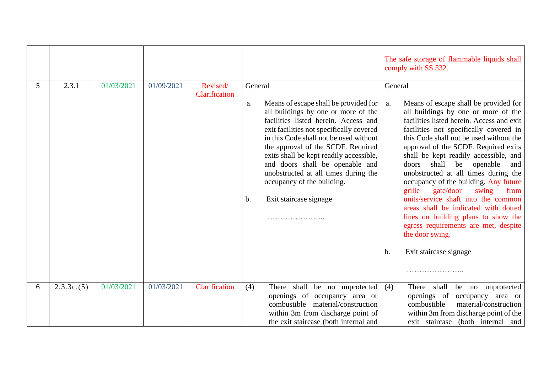|   |            |            |            |                           |                                                                                                                                                                                                                                                                                                                                                                                                                                                                  | The safe storage of flammable liquids shall<br>comply with SS 532.                                                                                                                                                                                                                                                                                                                                                                                                                                                                                                                                                                                                                                 |
|---|------------|------------|------------|---------------------------|------------------------------------------------------------------------------------------------------------------------------------------------------------------------------------------------------------------------------------------------------------------------------------------------------------------------------------------------------------------------------------------------------------------------------------------------------------------|----------------------------------------------------------------------------------------------------------------------------------------------------------------------------------------------------------------------------------------------------------------------------------------------------------------------------------------------------------------------------------------------------------------------------------------------------------------------------------------------------------------------------------------------------------------------------------------------------------------------------------------------------------------------------------------------------|
| 5 | 2.3.1      | 01/03/2021 | 01/09/2021 | Revised/<br>Clarification | General<br>Means of escape shall be provided for<br>a.<br>all buildings by one or more of the<br>facilities listed herein. Access and<br>exit facilities not specifically covered<br>in this Code shall not be used without<br>the approval of the SCDF. Required<br>exits shall be kept readily accessible,<br>and doors shall be openable and<br>unobstructed at all times during the<br>occupancy of the building.<br>$\mathbf b$ .<br>Exit staircase signage | General<br>Means of escape shall be provided for<br>a.<br>all buildings by one or more of the<br>facilities listed herein. Access and exit<br>facilities not specifically covered in<br>this Code shall not be used without the<br>approval of the SCDF. Required exits<br>shall be kept readily accessible, and<br>doors<br>shall<br>be openable<br>and<br>unobstructed at all times during the<br>occupancy of the building. Any future<br>gate/door<br>grille<br>swing<br>from<br>units/service shaft into the common<br>areas shall be indicated with dotted<br>lines on building plans to show the<br>egress requirements are met, despite<br>the door swing.<br>Exit staircase signage<br>b. |
|   |            |            |            |                           |                                                                                                                                                                                                                                                                                                                                                                                                                                                                  |                                                                                                                                                                                                                                                                                                                                                                                                                                                                                                                                                                                                                                                                                                    |
| 6 | 2.3.3c.(5) | 01/03/2021 | 01/03/2021 | Clarification             | (4)<br>There shall be no unprotected<br>openings of occupancy area or<br>combustible material/construction<br>within 3m from discharge point of<br>the exit staircase (both internal and                                                                                                                                                                                                                                                                         | There shall<br>(4)<br>be no<br>unprotected<br>openings of<br>occupancy area or<br>combustible<br>material/construction<br>within 3m from discharge point of the<br>exit staircase (both internal and                                                                                                                                                                                                                                                                                                                                                                                                                                                                                               |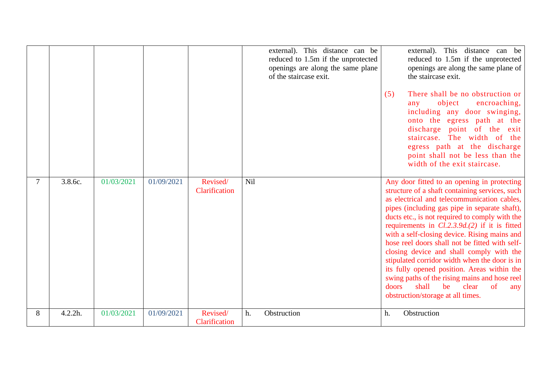|        |         |            |            |                           | external). This distance can be<br>reduced to 1.5m if the unprotected<br>openings are along the same plane<br>of the staircase exit. | This distance can be<br>external).<br>reduced to 1.5m if the unprotected<br>openings are along the same plane of<br>the staircase exit.<br>There shall be no obstruction or<br>(5)<br>object<br>encroaching,<br>any<br>including any door swinging,<br>onto the egress path at the<br>discharge point of the exit<br>staircase. The width of the<br>egress path at the discharge<br>point shall not be less than the<br>width of the exit staircase.                                                                                                                                                                                                                                 |
|--------|---------|------------|------------|---------------------------|--------------------------------------------------------------------------------------------------------------------------------------|--------------------------------------------------------------------------------------------------------------------------------------------------------------------------------------------------------------------------------------------------------------------------------------------------------------------------------------------------------------------------------------------------------------------------------------------------------------------------------------------------------------------------------------------------------------------------------------------------------------------------------------------------------------------------------------|
| $\tau$ | 3.8.6c. | 01/03/2021 | 01/09/2021 | Revised/<br>Clarification | Nil                                                                                                                                  | Any door fitted to an opening in protecting<br>structure of a shaft containing services, such<br>as electrical and telecommunication cables,<br>pipes (including gas pipe in separate shaft),<br>ducts etc., is not required to comply with the<br>requirements in $Cl.2.3.9d.(2)$ if it is fitted<br>with a self-closing device. Rising mains and<br>hose reel doors shall not be fitted with self-<br>closing device and shall comply with the<br>stipulated corridor width when the door is in<br>its fully opened position. Areas within the<br>swing paths of the rising mains and hose reel<br>shall<br>be<br>of<br>doors<br>clear<br>any<br>obstruction/storage at all times. |
| 8      | 4.2.2h. | 01/03/2021 | 01/09/2021 | Revised/<br>Clarification | Obstruction<br>h.                                                                                                                    | Obstruction<br>h.                                                                                                                                                                                                                                                                                                                                                                                                                                                                                                                                                                                                                                                                    |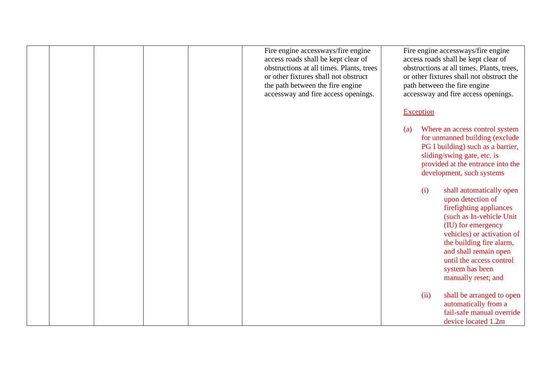|  |  | Fire engine accessways/fire engine<br>access roads shall be kept clear of<br>obstructions at all times. Plants, trees<br>or other fixtures shall not obstruct<br>the path between the fire engine<br>accessway and fire access openings. | Fire engine accessways/fire engine<br>access roads shall be kept clear of<br>obstructions at all times. Plants, trees,<br>or other fixtures shall not obstruct the<br>path between the fire engine<br>accessway and fire access openings.                                                   |
|--|--|------------------------------------------------------------------------------------------------------------------------------------------------------------------------------------------------------------------------------------------|---------------------------------------------------------------------------------------------------------------------------------------------------------------------------------------------------------------------------------------------------------------------------------------------|
|  |  |                                                                                                                                                                                                                                          | <b>Exception</b><br>Where an access control system<br>(a)<br>for unmanned building (exclude                                                                                                                                                                                                 |
|  |  |                                                                                                                                                                                                                                          | PG I building) such as a barrier,<br>sliding/swing gate, etc. is<br>provided at the entrance into the<br>development, such systems                                                                                                                                                          |
|  |  |                                                                                                                                                                                                                                          | (i)<br>shall automatically open<br>upon detection of<br>firefighting appliances<br>(such as In-vehicle Unit)<br>(IU) for emergency<br>vehicles) or activation of<br>the building fire alarm,<br>and shall remain open<br>until the access control<br>system has been<br>manually reset; and |
|  |  |                                                                                                                                                                                                                                          | (ii)<br>shall be arranged to open<br>automatically from a<br>fail-safe manual override<br>device located 1.2m                                                                                                                                                                               |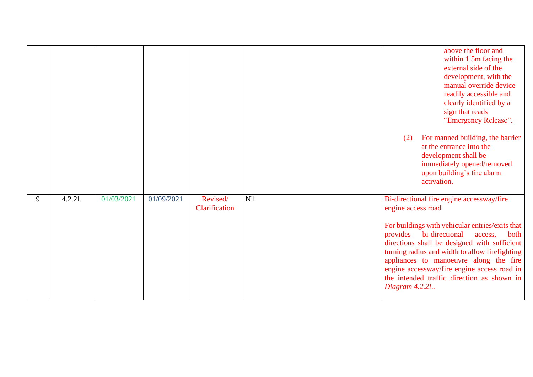|   |         |            |            |                           |     | (2)                                              | above the floor and<br>within 1.5m facing the<br>external side of the<br>development, with the<br>manual override device<br>readily accessible and<br>clearly identified by a<br>sign that reads<br>"Emergency Release".<br>For manned building, the barrier<br>at the entrance into the<br>development shall be<br>immediately opened/removed<br>upon building's fire alarm<br>activation. |
|---|---------|------------|------------|---------------------------|-----|--------------------------------------------------|---------------------------------------------------------------------------------------------------------------------------------------------------------------------------------------------------------------------------------------------------------------------------------------------------------------------------------------------------------------------------------------------|
| 9 | 4.2.21. | 01/03/2021 | 01/09/2021 | Revised/<br>Clarification | Nil | engine access road<br>provides<br>Diagram 4.2.21 | Bi-directional fire engine accessway/fire<br>For buildings with vehicular entries/exits that<br>bi-directional<br>both<br>access,<br>directions shall be designed with sufficient<br>turning radius and width to allow firefighting<br>appliances to manoeuvre along the fire<br>engine accessway/fire engine access road in<br>the intended traffic direction as shown in                  |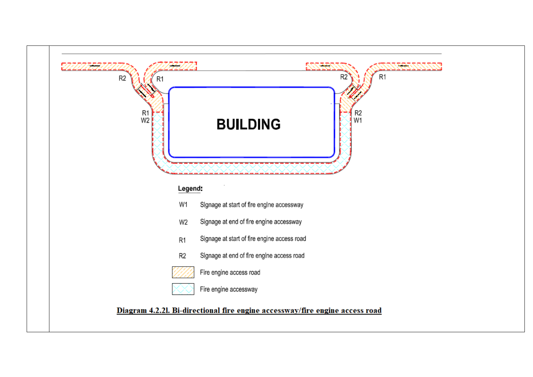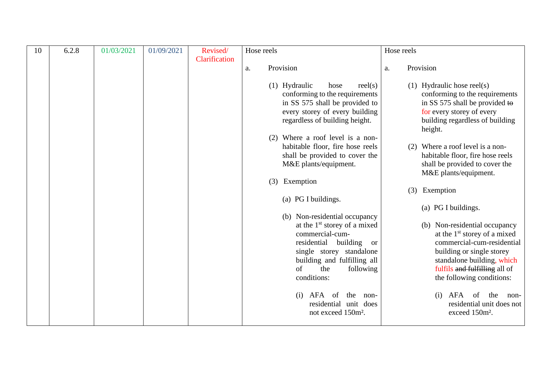| 10 | 6.2.8 | 01/03/2021 | 01/09/2021 | Revised/      | Hose reels |                                                                                                                                                                                                                                           | Hose reels |                                                                                                                                                                                                                        |
|----|-------|------------|------------|---------------|------------|-------------------------------------------------------------------------------------------------------------------------------------------------------------------------------------------------------------------------------------------|------------|------------------------------------------------------------------------------------------------------------------------------------------------------------------------------------------------------------------------|
|    |       |            |            | Clarification | a.         | Provision                                                                                                                                                                                                                                 | a.         | Provision                                                                                                                                                                                                              |
|    |       |            |            |               |            |                                                                                                                                                                                                                                           |            |                                                                                                                                                                                                                        |
|    |       |            |            |               |            | $(1)$ Hydraulic<br>rel(s)<br>hose<br>conforming to the requirements<br>in SS 575 shall be provided to<br>every storey of every building<br>regardless of building height.                                                                 |            | $(1)$ Hydraulic hose reel $(s)$<br>conforming to the requirements<br>in SS 575 shall be provided to<br>for every storey of every<br>building regardless of building<br>height.                                         |
|    |       |            |            |               |            | (2) Where a roof level is a non-<br>habitable floor, fire hose reels                                                                                                                                                                      |            | (2) Where a roof level is a non-                                                                                                                                                                                       |
|    |       |            |            |               |            | shall be provided to cover the<br>M&E plants/equipment.                                                                                                                                                                                   |            | habitable floor, fire hose reels<br>shall be provided to cover the                                                                                                                                                     |
|    |       |            |            |               | (3)        | Exemption                                                                                                                                                                                                                                 |            | M&E plants/equipment.                                                                                                                                                                                                  |
|    |       |            |            |               |            |                                                                                                                                                                                                                                           |            | (3) Exemption                                                                                                                                                                                                          |
|    |       |            |            |               |            | (a) PG I buildings.                                                                                                                                                                                                                       |            | (a) PG I buildings.                                                                                                                                                                                                    |
|    |       |            |            |               |            | (b) Non-residential occupancy<br>at the 1 <sup>st</sup> storey of a mixed<br>commercial-cum-<br>residential building<br><sub>or</sub><br>single storey standalone<br>building and fulfilling all<br>of<br>the<br>following<br>conditions: |            | (b) Non-residential occupancy<br>at the $1st$ storey of a mixed<br>commercial-cum-residential<br>building or single storey<br>standalone building, which<br>fulfils and fulfilling all of<br>the following conditions: |
|    |       |            |            |               |            | AFA<br>(i)<br>the<br>- of<br>non-<br>residential unit does<br>not exceed 150m <sup>2</sup> .                                                                                                                                              |            | AFA<br>of<br>the<br>(i)<br>non-<br>residential unit does not<br>exceed 150m <sup>2</sup> .                                                                                                                             |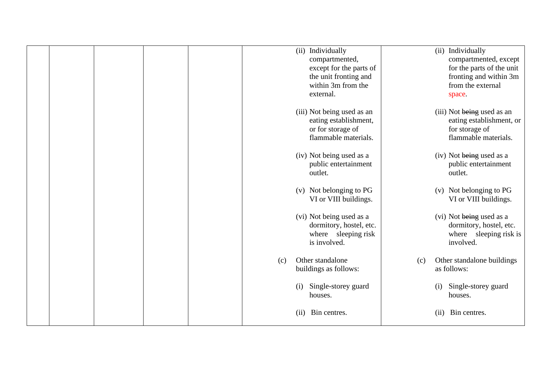|  |  |     | (ii) Individually<br>compartmented,<br>except for the parts of<br>the unit fronting and<br>within 3m from the<br>external. |     | (ii) Individually<br>compartmented, except<br>for the parts of the unit<br>fronting and within 3m<br>from the external<br>space. |
|--|--|-----|----------------------------------------------------------------------------------------------------------------------------|-----|----------------------------------------------------------------------------------------------------------------------------------|
|  |  |     | (iii) Not being used as an<br>eating establishment,<br>or for storage of<br>flammable materials.                           |     | (iii) Not being used as an<br>eating establishment, or<br>for storage of<br>flammable materials.                                 |
|  |  |     | (iv) Not being used as a<br>public entertainment<br>outlet.                                                                |     | (iv) Not being used as a<br>public entertainment<br>outlet.                                                                      |
|  |  |     | (v) Not belonging to PG<br>VI or VIII buildings.                                                                           |     | (v) Not belonging to PG<br>VI or VIII buildings.                                                                                 |
|  |  |     | (vi) Not being used as a<br>dormitory, hostel, etc.<br>where sleeping risk<br>is involved.                                 |     | (vi) Not being used as a<br>dormitory, hostel, etc.<br>where sleeping risk is<br>involved.                                       |
|  |  | (c) | Other standalone<br>buildings as follows:                                                                                  | (c) | Other standalone buildings<br>as follows:                                                                                        |
|  |  |     | Single-storey guard<br>(i)<br>houses.                                                                                      |     | Single-storey guard<br>(i)<br>houses.                                                                                            |
|  |  |     | Bin centres.<br>(i)                                                                                                        |     | Bin centres.<br>(ii)                                                                                                             |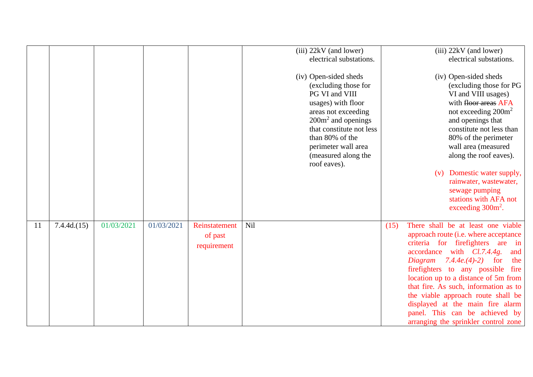|               |            |            |            |                                         | (iii) 22kV (and lower)<br>electrical substations.                                                                                                                                                                                                 | $(iii)$ 22kV (and lower)<br>electrical substations.                                                                                                                                                                                                                                                                                                                                                                                                                                       |
|---------------|------------|------------|------------|-----------------------------------------|---------------------------------------------------------------------------------------------------------------------------------------------------------------------------------------------------------------------------------------------------|-------------------------------------------------------------------------------------------------------------------------------------------------------------------------------------------------------------------------------------------------------------------------------------------------------------------------------------------------------------------------------------------------------------------------------------------------------------------------------------------|
|               |            |            |            |                                         | (iv) Open-sided sheds<br>(excluding those for<br>PG VI and VIII<br>usages) with floor<br>areas not exceeding<br>$200m2$ and openings<br>that constitute not less<br>than 80% of the<br>perimeter wall area<br>(measured along the<br>roof eaves). | (iv) Open-sided sheds<br>(excluding those for PG<br>VI and VIII usages)<br>with floor areas AFA<br>not exceeding $200m^2$<br>and openings that<br>constitute not less than<br>80% of the perimeter<br>wall area (measured<br>along the roof eaves).<br>Domestic water supply,<br>(v)<br>rainwater, wastewater,<br>sewage pumping<br>stations with AFA not<br>exceeding $300m²$ .                                                                                                          |
| <sup>11</sup> | 7.4.4d(15) | 01/03/2021 | 01/03/2021 | Reinstatement<br>of past<br>requirement | Nil                                                                                                                                                                                                                                               | There shall be at least one viable<br>(15)<br>approach route (i.e. where acceptance<br>criteria for firefighters are in<br>$accordance \t with \t Cl.7.4.4g.$<br>and<br><i>Diagram</i> 7.4.4e.(4)-2) for<br>the<br>firefighters to any possible fire<br>location up to a distance of 5m from<br>that fire. As such, information as to<br>the viable approach route shall be<br>displayed at the main fire alarm<br>panel. This can be achieved by<br>arranging the sprinkler control zone |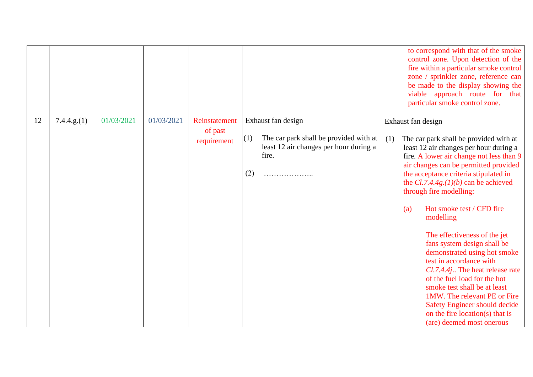|    |             |            |            |                                         |                                                                                                                                    | to correspond with that of the smoke<br>control zone. Upon detection of the<br>fire within a particular smoke control<br>zone / sprinkler zone, reference can<br>be made to the display showing the<br>viable approach route for that<br>particular smoke control zone.                                                                                                                                                                                                                                                                                                                                                                                                                                                                |
|----|-------------|------------|------------|-----------------------------------------|------------------------------------------------------------------------------------------------------------------------------------|----------------------------------------------------------------------------------------------------------------------------------------------------------------------------------------------------------------------------------------------------------------------------------------------------------------------------------------------------------------------------------------------------------------------------------------------------------------------------------------------------------------------------------------------------------------------------------------------------------------------------------------------------------------------------------------------------------------------------------------|
| 12 | 7.4.4.g.(1) | 01/03/2021 | 01/03/2021 | Reinstatement<br>of past<br>requirement | Exhaust fan design<br>The car park shall be provided with at<br>(1)<br>least 12 air changes per hour during a<br>fire.<br>(2)<br>. | Exhaust fan design<br>(1)<br>The car park shall be provided with at<br>least 12 air changes per hour during a<br>fire. A lower air change not less than 9<br>air changes can be permitted provided<br>the acceptance criteria stipulated in<br>the $Cl.7.4.4g.(1)(b)$ can be achieved<br>through fire modelling:<br>Hot smoke test / CFD fire<br>(a)<br>modelling<br>The effectiveness of the jet<br>fans system design shall be<br>demonstrated using hot smoke<br>test in accordance with<br>Cl.7.4.4j The heat release rate<br>of the fuel load for the hot<br>smoke test shall be at least<br>1MW. The relevant PE or Fire<br><b>Safety Engineer should decide</b><br>on the fire location(s) that is<br>(are) deemed most onerous |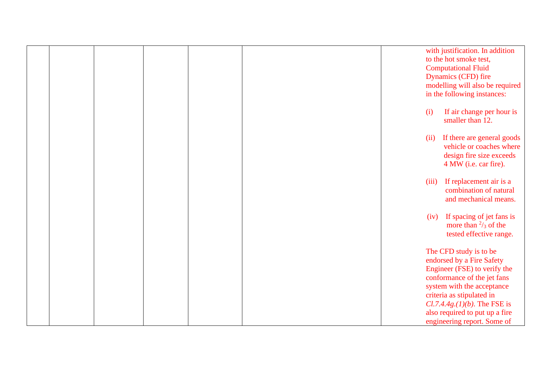|  |  |  |       | with justification. In addition              |
|--|--|--|-------|----------------------------------------------|
|  |  |  |       | to the hot smoke test,                       |
|  |  |  |       | <b>Computational Fluid</b>                   |
|  |  |  |       | Dynamics (CFD) fire                          |
|  |  |  |       | modelling will also be required              |
|  |  |  |       | in the following instances:                  |
|  |  |  |       |                                              |
|  |  |  | (i)   | If air change per hour is                    |
|  |  |  |       | smaller than 12.                             |
|  |  |  |       |                                              |
|  |  |  | (ii)  | If there are general goods                   |
|  |  |  |       | vehicle or coaches where                     |
|  |  |  |       | design fire size exceeds                     |
|  |  |  |       | 4 MW (i.e. car fire).                        |
|  |  |  | (iii) | If replacement air is a                      |
|  |  |  |       | combination of natural                       |
|  |  |  |       | and mechanical means.                        |
|  |  |  |       |                                              |
|  |  |  | (iv)  | If spacing of jet fans is                    |
|  |  |  |       | more than $\frac{2}{3}$ of the               |
|  |  |  |       | tested effective range.                      |
|  |  |  |       |                                              |
|  |  |  |       | The CFD study is to be                       |
|  |  |  |       | endorsed by a Fire Safety                    |
|  |  |  |       | Engineer (FSE) to verify the                 |
|  |  |  |       | conformance of the jet fans                  |
|  |  |  |       | system with the acceptance                   |
|  |  |  |       | criteria as stipulated in                    |
|  |  |  |       | <i>Cl.7.4.4g.</i> ( $1$ )( $b$ ). The FSE is |
|  |  |  |       | also required to put up a fire               |
|  |  |  |       | engineering report. Some of                  |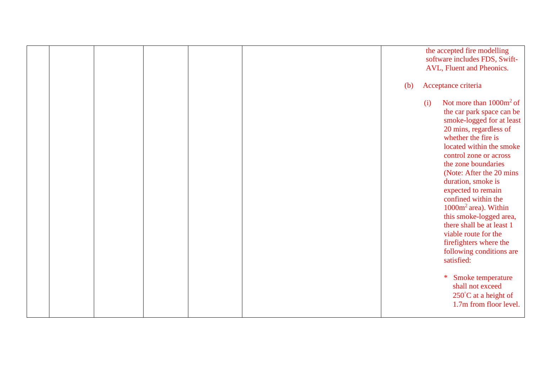|  |  |  |     | the accepted fire modelling<br>software includes FDS, Swift-<br>AVL, Fluent and Pheonics.                                                                                                                                                                                                                                                                                                                                                                                                                         |
|--|--|--|-----|-------------------------------------------------------------------------------------------------------------------------------------------------------------------------------------------------------------------------------------------------------------------------------------------------------------------------------------------------------------------------------------------------------------------------------------------------------------------------------------------------------------------|
|  |  |  | (b) | Acceptance criteria                                                                                                                                                                                                                                                                                                                                                                                                                                                                                               |
|  |  |  |     | Not more than $1000m^2$ of<br>(i)<br>the car park space can be<br>smoke-logged for at least<br>20 mins, regardless of<br>whether the fire is<br>located within the smoke<br>control zone or across<br>the zone boundaries<br>(Note: After the 20 mins)<br>duration, smoke is<br>expected to remain<br>confined within the<br>1000m <sup>2</sup> area). Within<br>this smoke-logged area,<br>there shall be at least 1<br>viable route for the<br>firefighters where the<br>following conditions are<br>satisfied: |
|  |  |  |     | Smoke temperature<br>*<br>shall not exceed<br>250°C at a height of<br>1.7m from floor level.                                                                                                                                                                                                                                                                                                                                                                                                                      |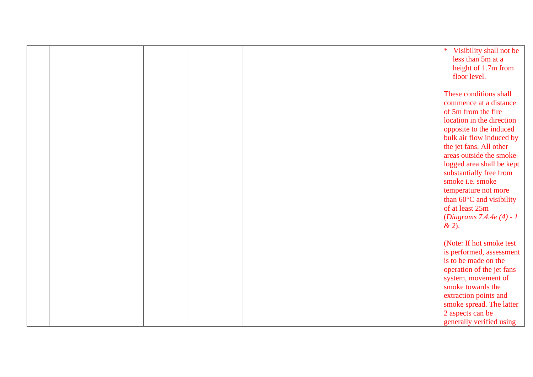|  |  |  | * Visibility shall not be<br>less than 5m at a<br>height of 1.7m from<br>floor level.                                                                                                                                                                                                                                                                                                                                    |
|--|--|--|--------------------------------------------------------------------------------------------------------------------------------------------------------------------------------------------------------------------------------------------------------------------------------------------------------------------------------------------------------------------------------------------------------------------------|
|  |  |  | These conditions shall<br>commence at a distance<br>of 5m from the fire<br>location in the direction<br>opposite to the induced<br>bulk air flow induced by<br>the jet fans. All other<br>areas outside the smoke-<br>logged area shall be kept<br>substantially free from<br>smoke i.e. smoke<br>temperature not more<br>than $60^{\circ}$ C and visibility<br>of at least 25m<br>(Diagrams 7.4.4e (4) - 1<br>$x^{2}$ . |
|  |  |  | (Note: If hot smoke test)<br>is performed, assessment<br>is to be made on the<br>operation of the jet fans<br>system, movement of<br>smoke towards the<br>extraction points and<br>smoke spread. The latter<br>2 aspects can be<br>generally verified using                                                                                                                                                              |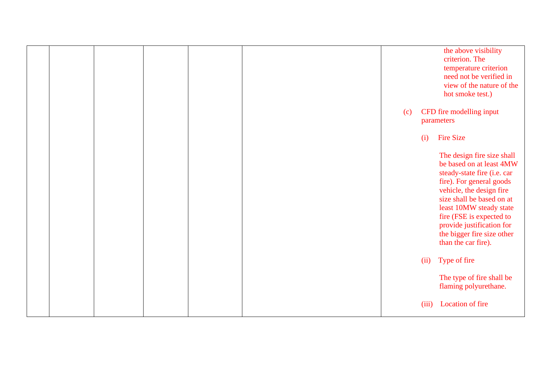|  |  |  |     |       | the above visibility<br>criterion. The<br>temperature criterion<br>need not be verified in<br>view of the nature of the<br>hot smoke test.)                                                                                                                                                                         |
|--|--|--|-----|-------|---------------------------------------------------------------------------------------------------------------------------------------------------------------------------------------------------------------------------------------------------------------------------------------------------------------------|
|  |  |  | (c) |       | CFD fire modelling input<br>parameters                                                                                                                                                                                                                                                                              |
|  |  |  |     | (i)   | <b>Fire Size</b>                                                                                                                                                                                                                                                                                                    |
|  |  |  |     |       | The design fire size shall<br>be based on at least 4MW<br>steady-state fire (i.e. car<br>fire). For general goods<br>vehicle, the design fire<br>size shall be based on at<br>least 10MW steady state<br>fire (FSE is expected to<br>provide justification for<br>the bigger fire size other<br>than the car fire). |
|  |  |  |     | (ii)  | Type of fire                                                                                                                                                                                                                                                                                                        |
|  |  |  |     |       | The type of fire shall be<br>flaming polyurethane.                                                                                                                                                                                                                                                                  |
|  |  |  |     | (iii) | Location of fire                                                                                                                                                                                                                                                                                                    |
|  |  |  |     |       |                                                                                                                                                                                                                                                                                                                     |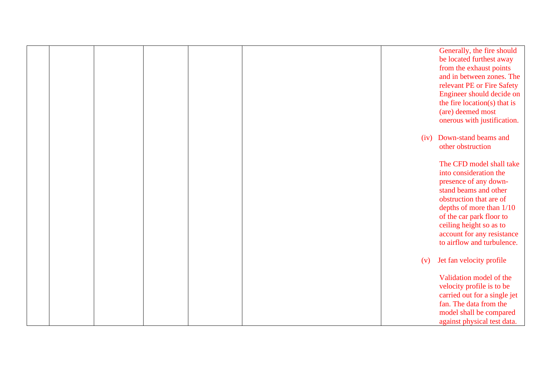|  |  |  |      | Generally, the fire should       |
|--|--|--|------|----------------------------------|
|  |  |  |      | be located furthest away         |
|  |  |  |      | from the exhaust points          |
|  |  |  |      | and in between zones. The        |
|  |  |  |      | relevant PE or Fire Safety       |
|  |  |  |      | Engineer should decide on        |
|  |  |  |      | the fire location( $s$ ) that is |
|  |  |  |      | (are) deemed most                |
|  |  |  |      | onerous with justification.      |
|  |  |  | (iv) | Down-stand beams and             |
|  |  |  |      | other obstruction                |
|  |  |  |      | The CFD model shall take         |
|  |  |  |      | into consideration the           |
|  |  |  |      | presence of any down-            |
|  |  |  |      | stand beams and other            |
|  |  |  |      | obstruction that are of          |
|  |  |  |      | depths of more than $1/10$       |
|  |  |  |      | of the car park floor to         |
|  |  |  |      | ceiling height so as to          |
|  |  |  |      | account for any resistance       |
|  |  |  |      | to airflow and turbulence.       |
|  |  |  | (v)  | Jet fan velocity profile         |
|  |  |  |      | Validation model of the          |
|  |  |  |      | velocity profile is to be        |
|  |  |  |      | carried out for a single jet     |
|  |  |  |      | fan. The data from the           |
|  |  |  |      | model shall be compared          |
|  |  |  |      | against physical test data.      |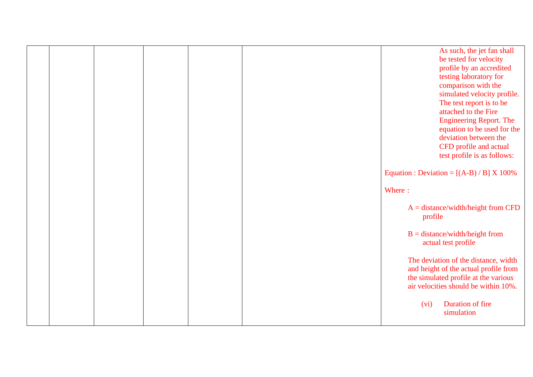|  |  |  | As such, the jet fan shall<br>be tested for velocity<br>profile by an accredited<br>testing laboratory for<br>comparison with the<br>simulated velocity profile.<br>The test report is to be<br>attached to the Fire<br><b>Engineering Report. The</b><br>equation to be used for the<br>deviation between the<br>CFD profile and actual |
|--|--|--|------------------------------------------------------------------------------------------------------------------------------------------------------------------------------------------------------------------------------------------------------------------------------------------------------------------------------------------|
|  |  |  | test profile is as follows:<br>Equation : Deviation = $[(A-B)/B] X 100\%$<br>Where:                                                                                                                                                                                                                                                      |
|  |  |  | $A = distance/width/height from CFD$<br>profile                                                                                                                                                                                                                                                                                          |
|  |  |  | $B = distance/width/height from$<br>actual test profile                                                                                                                                                                                                                                                                                  |
|  |  |  | The deviation of the distance, width<br>and height of the actual profile from<br>the simulated profile at the various<br>air velocities should be within 10%.                                                                                                                                                                            |
|  |  |  | Duration of fire<br>(vi)<br>simulation                                                                                                                                                                                                                                                                                                   |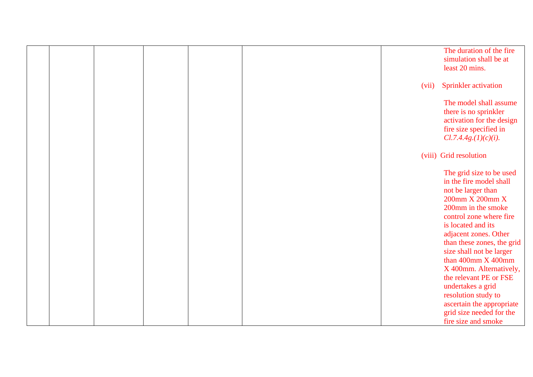|  |  |  |       | The duration of the fire<br>simulation shall be at<br>least 20 mins.                                                                                                                                                                                                                                                              |
|--|--|--|-------|-----------------------------------------------------------------------------------------------------------------------------------------------------------------------------------------------------------------------------------------------------------------------------------------------------------------------------------|
|  |  |  | (vii) | <b>Sprinkler</b> activation                                                                                                                                                                                                                                                                                                       |
|  |  |  |       | The model shall assume<br>there is no sprinkler<br>activation for the design<br>fire size specified in<br>Cl.7.4.4g.(1)(c)(i).                                                                                                                                                                                                    |
|  |  |  |       | (viii) Grid resolution                                                                                                                                                                                                                                                                                                            |
|  |  |  |       | The grid size to be used<br>in the fire model shall<br>not be larger than<br>200mm X 200mm X<br>200mm in the smoke<br>control zone where fire<br>is located and its<br>adjacent zones. Other<br>than these zones, the grid<br>size shall not be larger<br>than 400mm X 400mm<br>X 400mm. Alternatively,<br>the relevant PE or FSE |
|  |  |  |       | undertakes a grid                                                                                                                                                                                                                                                                                                                 |
|  |  |  |       | resolution study to                                                                                                                                                                                                                                                                                                               |
|  |  |  |       | ascertain the appropriate                                                                                                                                                                                                                                                                                                         |
|  |  |  |       | grid size needed for the<br>fire size and smoke                                                                                                                                                                                                                                                                                   |
|  |  |  |       |                                                                                                                                                                                                                                                                                                                                   |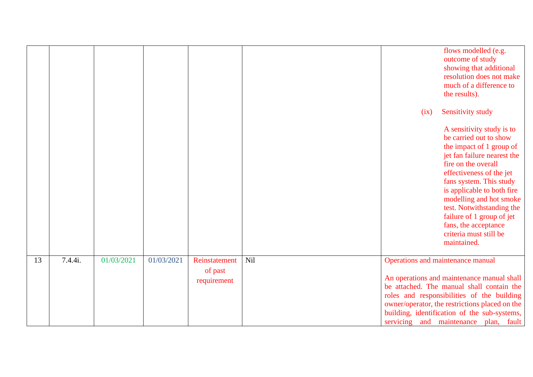|    |         |            |            |                          |     | flows modelled (e.g.<br>outcome of study<br>showing that additional<br>resolution does not make<br>much of a difference to<br>the results).                                                                                                                                                                                                                                      |
|----|---------|------------|------------|--------------------------|-----|----------------------------------------------------------------------------------------------------------------------------------------------------------------------------------------------------------------------------------------------------------------------------------------------------------------------------------------------------------------------------------|
|    |         |            |            |                          |     | Sensitivity study<br>(ix)                                                                                                                                                                                                                                                                                                                                                        |
|    |         |            |            |                          |     | A sensitivity study is to<br>be carried out to show<br>the impact of 1 group of<br>jet fan failure nearest the<br>fire on the overall<br>effectiveness of the jet<br>fans system. This study<br>is applicable to both fire<br>modelling and hot smoke<br>test. Notwithstanding the<br>failure of 1 group of jet<br>fans, the acceptance<br>criteria must still be<br>maintained. |
| 13 | 7.4.4i. | 01/03/2021 | 01/03/2021 | Reinstatement<br>of past | Nil | Operations and maintenance manual                                                                                                                                                                                                                                                                                                                                                |
|    |         |            |            | requirement              |     | An operations and maintenance manual shall<br>be attached. The manual shall contain the<br>roles and responsibilities of the building<br>owner/operator, the restrictions placed on the<br>building, identification of the sub-systems,<br>servicing and maintenance plan, fault                                                                                                 |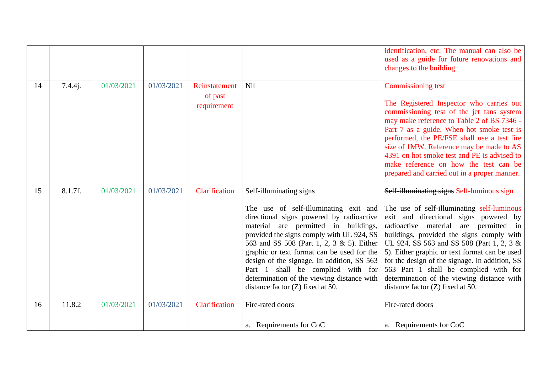|    |         |            |            |                                         |                                                                                                                                                                                                                                                                                                                                                                                                                                          | identification, etc. The manual can also be<br>used as a guide for future renovations and<br>changes to the building.                                                                                                                                                                                                                                                                                                                                |
|----|---------|------------|------------|-----------------------------------------|------------------------------------------------------------------------------------------------------------------------------------------------------------------------------------------------------------------------------------------------------------------------------------------------------------------------------------------------------------------------------------------------------------------------------------------|------------------------------------------------------------------------------------------------------------------------------------------------------------------------------------------------------------------------------------------------------------------------------------------------------------------------------------------------------------------------------------------------------------------------------------------------------|
| 14 | 7.4.4j. | 01/03/2021 | 01/03/2021 | Reinstatement<br>of past<br>requirement | Nil                                                                                                                                                                                                                                                                                                                                                                                                                                      | Commissioning test<br>The Registered Inspector who carries out<br>commissioning test of the jet fans system<br>may make reference to Table 2 of BS 7346 -<br>Part 7 as a guide. When hot smoke test is<br>performed, the PE/FSE shall use a test fire<br>size of 1MW. Reference may be made to AS<br>4391 on hot smoke test and PE is advised to<br>make reference on how the test can be<br>prepared and carried out in a proper manner.            |
| 15 | 8.1.7f. | 01/03/2021 | 01/03/2021 | Clarification                           | Self-illuminating signs                                                                                                                                                                                                                                                                                                                                                                                                                  | Self-illuminating signs Self-luminous sign                                                                                                                                                                                                                                                                                                                                                                                                           |
|    |         |            |            |                                         | The use of self-illuminating exit and<br>directional signs powered by radioactive<br>material are permitted in buildings,<br>provided the signs comply with UL 924, SS<br>563 and SS 508 (Part 1, 2, 3 & 5). Either<br>graphic or text format can be used for the<br>design of the signage. In addition, SS 563<br>Part 1 shall be complied with for<br>determination of the viewing distance with<br>distance factor $(Z)$ fixed at 50. | The use of self-illuminating self-luminous<br>exit and directional signs powered by<br>radioactive material are permitted in<br>buildings, provided the signs comply with<br>UL 924, SS 563 and SS 508 (Part 1, 2, 3 &<br>5). Either graphic or text format can be used<br>for the design of the signage. In addition, SS<br>563 Part 1 shall be complied with for<br>determination of the viewing distance with<br>distance factor (Z) fixed at 50. |
| 16 | 11.8.2  | 01/03/2021 | 01/03/2021 | Clarification                           | Fire-rated doors                                                                                                                                                                                                                                                                                                                                                                                                                         | Fire-rated doors                                                                                                                                                                                                                                                                                                                                                                                                                                     |
|    |         |            |            |                                         | a. Requirements for CoC                                                                                                                                                                                                                                                                                                                                                                                                                  | a. Requirements for CoC                                                                                                                                                                                                                                                                                                                                                                                                                              |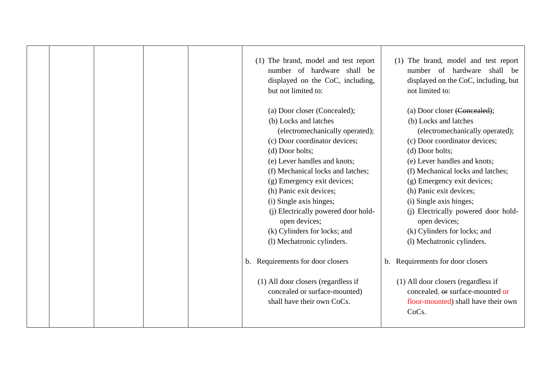|  |  | (1) The brand, model and test report<br>number of hardware shall be<br>displayed on the CoC, including,<br>but not limited to:<br>(a) Door closer (Concealed); | (1) The brand, model and test report<br>number of hardware shall be<br>displayed on the CoC, including, but<br>not limited to:<br>(a) Door closer (Concealed); |
|--|--|----------------------------------------------------------------------------------------------------------------------------------------------------------------|----------------------------------------------------------------------------------------------------------------------------------------------------------------|
|  |  | (b) Locks and latches                                                                                                                                          | (b) Locks and latches                                                                                                                                          |
|  |  | (electromechanically operated);                                                                                                                                | (electromechanically operated);                                                                                                                                |
|  |  | (c) Door coordinator devices;                                                                                                                                  | (c) Door coordinator devices;                                                                                                                                  |
|  |  | (d) Door bolts;                                                                                                                                                | (d) Door bolts;                                                                                                                                                |
|  |  | (e) Lever handles and knots;                                                                                                                                   | (e) Lever handles and knots;                                                                                                                                   |
|  |  | (f) Mechanical locks and latches;                                                                                                                              | (f) Mechanical locks and latches;                                                                                                                              |
|  |  | (g) Emergency exit devices;                                                                                                                                    | (g) Emergency exit devices;                                                                                                                                    |
|  |  | (h) Panic exit devices;                                                                                                                                        | (h) Panic exit devices;                                                                                                                                        |
|  |  | (i) Single axis hinges;                                                                                                                                        | (i) Single axis hinges;                                                                                                                                        |
|  |  | (i) Electrically powered door hold-                                                                                                                            | (i) Electrically powered door hold-                                                                                                                            |
|  |  | open devices;                                                                                                                                                  | open devices;                                                                                                                                                  |
|  |  | (k) Cylinders for locks; and                                                                                                                                   | (k) Cylinders for locks; and                                                                                                                                   |
|  |  | (l) Mechatronic cylinders.                                                                                                                                     | (l) Mechatronic cylinders.                                                                                                                                     |
|  |  | Requirements for door closers<br>b.                                                                                                                            | b. Requirements for door closers                                                                                                                               |
|  |  | (1) All door closers (regardless if<br>concealed or surface-mounted)<br>shall have their own CoCs.                                                             | (1) All door closers (regardless if<br>concealed, or surface-mounted or<br>floor-mounted) shall have their own<br>CoCs.                                        |
|  |  |                                                                                                                                                                |                                                                                                                                                                |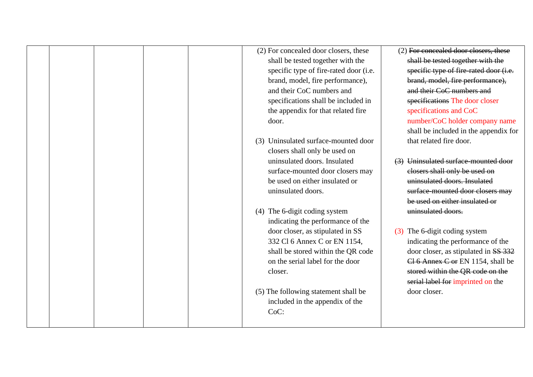|  |  |       | (2) For concealed door closers, these  |     | (2) For concealed door closers, these  |
|--|--|-------|----------------------------------------|-----|----------------------------------------|
|  |  |       | shall be tested together with the      |     | shall be tested together with the      |
|  |  |       | specific type of fire-rated door (i.e. |     | specific type of fire-rated door (i.e. |
|  |  |       | brand, model, fire performance),       |     | brand, model, fire performance),       |
|  |  |       | and their CoC numbers and              |     | and their CoC numbers and              |
|  |  |       | specifications shall be included in    |     | specifications The door closer         |
|  |  |       | the appendix for that related fire     |     | specifications and CoC                 |
|  |  | door. |                                        |     | number/CoC holder company name         |
|  |  |       |                                        |     | shall be included in the appendix for  |
|  |  |       | (3) Uninsulated surface-mounted door   |     | that related fire door.                |
|  |  |       | closers shall only be used on          |     |                                        |
|  |  |       | uninsulated doors. Insulated           |     | (3) Uninsulated surface-mounted door   |
|  |  |       | surface-mounted door closers may       |     | closers shall only be used on          |
|  |  |       | be used on either insulated or         |     | uninsulated doors. Insulated           |
|  |  |       | uninsulated doors.                     |     | surface-mounted door closers may       |
|  |  |       |                                        |     | be used on either insulated or         |
|  |  | (4)   | The 6-digit coding system              |     | uninsulated doors.                     |
|  |  |       | indicating the performance of the      |     |                                        |
|  |  |       | door closer, as stipulated in SS       | (3) | The 6-digit coding system              |
|  |  |       | 332 Cl 6 Annex C or EN 1154,           |     | indicating the performance of the      |
|  |  |       | shall be stored within the QR code     |     | door closer, as stipulated in SS 332   |
|  |  |       | on the serial label for the door       |     | Cl 6 Annex C or EN 1154, shall be      |
|  |  |       | closer.                                |     | stored within the QR code on the       |
|  |  |       |                                        |     | serial label for imprinted on the      |
|  |  |       | (5) The following statement shall be   |     | door closer.                           |
|  |  |       | included in the appendix of the        |     |                                        |
|  |  |       | CoC:                                   |     |                                        |
|  |  |       |                                        |     |                                        |
|  |  |       |                                        |     |                                        |